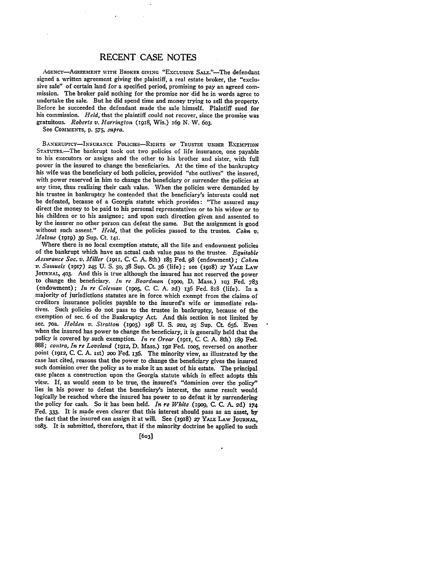## RECENT **CASE NOTES**

AGENCY-AGREEMENT WITH BROKER GIVING "EXCLUSIVE SALE."-The defendant signed a written agreement **giving** the plaintiff, a real estate broker, the "exclumission. The broker paid nothing for the promise nor did he in words agree to undertake the sale. But he did spend time and money trying to sell the property. Before he succeeded the defendant made the sale himself. Plaintiff sued for his commission. *Held,* that the plaintiff could not recover, since the promise was gratuitous. *Roberts v. Harrington* (1918, Wis.) **169 N.** W. 6o3.

See **COMMENTS, p. 575,** *supra.*

**BANKRUPTCY-INSURANCE POLICIES-RIGHTS OF TRUSTEE UNDER EXEMfPTION STATUTEs.-The bankrupt took out two policies of** life insurance, one payable to his executors or assigns and the other to his brother and sister, with full power in the insured to change the beneficiaries. At the time of the bankruptcy his wife was the beneficiary of both policies, provided "she outlives" the insured, with power reserved in him to change the beneficiary or surrender the policies at any time, thus realizing their cash value. When the policies were demanded by his trustee in bankruptcy he contended that the beneficiary's interests could not be defeated, because of a Georgia statute which provides: "The assured may direct the money to be paid to his personal representatives or to his widow or to his children or to his assignee; and upon such direction given and assented to by the insurer no other person can defeat the same. But the assignment is good without such assent." *Held,* that the policies passed to the trustee. *Cohn v. Malone* (I919) **39** Sup. Ct. **141.**

Where there is no local exemption statute, all the life and endowment policies of the bankrupt which have an actual cash value pass to the trustee. *Equitable* Assurance Soc. v. Miller (1911, C. C. A. 8th) 185 Fed. 98 (endowment); Cohen v. Samuels (1917) 245 U. S. 50, 38 Sup. Ct. 36 (life); see (1918) 27 YALE LAW **JOURNAL, 4o3.** And this is true although the insured has not reserved the power to change the beneficiary. *In re Boardman* (igoo, **D.** Mass.) **IO3** Fed. **783** (endowment); *In re Coleman* (i9o5, **C. C. A. 2d)** 136 Fed. **88** (life). In a majority of jurisdictions statutes are in force which exempt from the claims, of creditors insurance policies payable to the insured's wife or immediate relatives. Such policies do not pass to the trustee in bankruptcy, because of the exemption of sec. 6 of the Bankruptcy Act. And this section is not limited **by sec. 7oa.** *Holden v. Stratton* (i9o5) 198 U. **S.** 2o2, **25 Sup.** Ct. 656. Even when the insured has power to change the beneficiary, it is generally held that the policy is covered by such exemption. *In re Orear* **(1911,** C. C. **A.** 8th) **i89** Fed. *888; contra, In re Loveland* **(i912,** D. Mass.) **i92** Fed. ioo5, reversed on another point **(i912,** C. C. A. ist) **2oo** Fed. 136. The minority view, as illustrated by the case last cited, reasons that the power to change the beneficiary gives the insured such dominion over the policy as to make it an asset of his estate. The principal case places a construction upon the Georgia statute which in effect adopts this view. If, as would seem to be true, the insured's "dominion over the policy" lies in his power to defeat the beneficiary's interest, the same result would logically be reached where the insured has power to so defeat it by surrendering the policy for cash. So it has been held. *In re White* (igog, **C.** C. **A. 2d) 174** Fed. **333.** It is made even clearer that this interest should pass as an asset, by the fact that the insured can assign it at will. See (1918) **27** YALE **LAW JOURNAL,** 1o83. It is submitted, therefore, that if the minority doctrine be applied to such

**[6o3**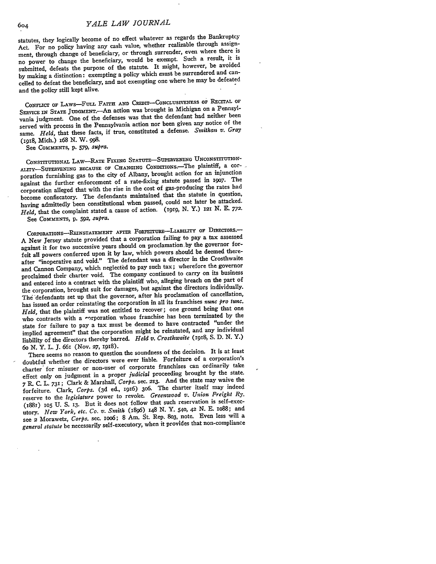statutes, they logically become of no effect whatever as regards the Bankruptcy Act. For no policy having any cash value, whether realizable through assignment, through change of beneficiary, or through surrender, even where there is no power to change the beneficiary, would be exempt. Such a result, it is submitted, defeats the purpose of the statute. It might, however, be avoided by making a distinction: exempting a policy which must be surrendered and cancelled to defeat the beneficiary, and not exempting one where he may be defeated and the policy still kept alive.

CONFLICT OF LAWS-FULL FAITH AND CREDIT-CONCLUSIVENESS OF RECITAL OF SERVICE IN STATE JUDGMENT.<sup>--</sup>An action was brought in Michigan on a Pennsylvania judgment. One of the defenses was that the defendant had neither been served with process in the Pennsylvania action nor been given any notice of the same. *Held,* that these facts, if true, constituted a defense. *Smithan, v. Gray* **(198,** Mich.) 168 **N.** W. **998.**

CoNsTrruTIONAL LAw-RATE FIXING **STATUTE-SUPERVENING** UNcoNsTIUTION-ALITY-SUPERVENING BECAUSE OF CHANGING CONDITIONS. The plaintiff, a corporation furnishing gas to the city of Albany, brought action for an injunction against the further enforcement of a rate-fixing statute passed in 19o7. The corporation alleged that with the rise in the cost of gas-producing the rates had become confiscatory. The defendants maintained that the statute in question, having admittedly been constitutional when passed, could not later be attacked. *Held,* that the complaint stated a cause of action. (igig, N. Y.) 121 N. E. **772.**

See **COMMENTS,** p. **592,** *supra.*

CORPORATIONS-REINSTATEMENT AFTER FORFEITURE-LIABILITY OF DIRECTORS.--A New Jersey statute provided that a corporation failing to pay a tax assessed against it for two successive years should on proclamation.by the governor forfeit all powers conferred upon it **by** law, which powers should be deemed thereafter "inoperative and void." The defendant was a director in the Crosthwaite and Cannon Company, which neglected to pay such tax; wherefore the governor proclaimed their charter void. The company continued to carry on its business and entered into a contract with the plaintiff who, alleging breach on the part of the corporation, brought suit for damages, but against the directors individually. The defendants set up that the governor, after his proclamation of cancellation, has issued an order reinstating the corporation in all its franchises *nunc pro tunc. Held,* that the plaintiff was not entitled to recover; one ground being that one who contracts with a corporation whose franchise has been terminated by the state for failure to pay a tax must be deemed to have contracted "under the implied agreement" that the corporation might be reinstated, and any individual liability of the directors thereby barred. *Held v. Crosthwaite* (1918, S. D. N. Y.) 6o **N.** Y. L. **J.** *66I* (Nov. **27,** 1gI8).

There seems no reason to question the soundness of the decision. It is at least doubtful whether the directors were ever liable. Forfeiture of a corporation's charter' for misuser or non-user of corporate franchises can ordinarily take effect only on judgment in a proper *judicial* proceeding brought **by** the state. *7* R- **C.** L. 731; Clark **&** Marshall, *Corps.* sec. 213. And the state may waive the forfeiture. Clark, *Corps.* **(3d** ed., i916) 3o6. The charter itself may indeed reserve to the *legislature* power to revoke. *Greenwood v. Union Freight Ry.* **(i881)** 105 **U. S. 13.** But it does not follow that such reservation is self-executory. *New York, etc. Co. v. Smith* (i896) 148 **N. Y.** 540, **42 N. E.** io88; and see 2 Morawetz, *Corps.* sec. ioo6; 8 Am. St. Rep. 8o3, note. Even less will a *general statute* be necessarily self-executory, when it provides that non-compliance

See COMMENTS, p. *579, supra.*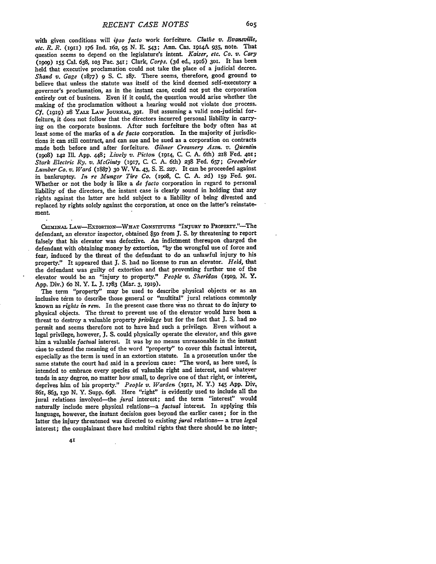with given conditions will *ipso facto* work forfeiture. *Cluthe v. Evansville, etc. R. R.* (x91) 176 **Ind.** 162, **95 N.** E. 543; Ann. Cas. **r914A 935,** note. That question seems to depend on the legislature's intent. *Kaiser, etc. Co. v. Cary* **(i9o9) 155** Cal. **638, io3** Pac. **341;** Clark, *Corps.* **(3d** ed., i9x6) **301.** It has been held that executive proclamation could not take the place of a judicial decree. *Shand v. Gage (1877)* **9 S. C.** 187. There seems, therefore, good ground to believe that unless the statute was itself of the kind deemed self-executory a governor's proclamation, as in the instant case, could not put the corporation entirely out of business. Even if it could, the question would arise whether the making of the proclamation without a hearing would not violate due process. *Cf.* (1919) 28 YALE LAW JOURNAL, 391. But assuming a valid non-judicial forfeiture, it does not follow that the directors incurred personal liability in carrying on the corporate business. After such forfeiture the body often has at least some of the marks of a *de facto* corporation. In the majority of jurisdictions it can still contract, and can sue and be sued as a corporation on contracts made both before and after forfeiture. *Gilmer Creamery Assn. v. Quentin* (i9o8) 142 Ill. **App.** 448; *Lively v. Picton* (19r4, **C. C. A.** 6th) *218* Fed. **4oi;** *Stark Electric Ry. v. McGinty* (1917, C. C. A. 6th) **238** Fed. 657; *Greenbrier Lumber Co. v. Ward* **(1887) 30** W. Va. 43, S. E. *227.* It can be proceeded against in bankruptcy. *In re Munger Tire Co.* **(19o8,** C. C. A. 2d) 159 Fed. **9oi.** Whether or not the body is like a *de facto* corporation in regard to personal liability of the directors, the instant case is clearly sound in holding that any rights against the latter are held subject to a liability of being divested and replaced by rights solely against the corporation, at once on the latter's reinstatement.

CRIMINAL LAW-EXTORTION-WHAT CONSTITUTES "INJURY TO PROPERTY."-The defendant, an elevator inspector, obtained *\$50* from **J. S. by** threatening to report falsely that his elevator was defective. An indictment thereupon charged the defendant with obtaining money **by** extortion, **"by** the wrongful use of force and fear, induced **by** the threat of the defendant to do an unlawful injury to his property." It appeared that **J. S.** had no license to run an elevator. *Held,* that the defendant was guilty of extortion and that preventing further use of the elevator would be an "injury to property." *People v. Sheridan* **(I919, N.** Y. **App.** Div.) 6o **N.** Y. L. **J. 1783** (Mar. 3, **1919).**

The term "property" may be used to describe physical objects or as an inclusive term to describe those general or "multital" jural relations commonly known as *rights in rem.* In the present case there was no threat to do injury to physical objects. The threat to prevent use of the elevator would have been a threat to destroy a valuable property *privilege* but for the fact that **J. S.** had no permit and seems therefore not to have had such a privilege. Even without a legal privilege, however, **J. S.** could physically operate the elevator, and this gave him a valuable *factual* interest. It was **by** no means unreasonable in the instant case to extend the meaning of the word "property" to cover this factual interest, especially as the term is used in an extortion statute. In a prosecution under the same statute the court had said in a previous case: "The word, as here used, is intended to embrace every species of valuable right and interest, and whatever tends in any degree, no matter how small, to deprive one of that right, or interest, deprives him of his property." *People v. Warden (1911,* **N.** Y.) **145 App.** Div, 86i, **863, i3o N.** Y. Supp. **698.** Here "right" is evidently used to include all the jural relations involved-the *jural* interest; and the term "interest" would naturally include mere physical relations-a *factual* interest. In applying this language, however, the instant decision goes beyond the earlier cases; for in the latter the injury threatened was directed to existing *jural* relations- a true *legal* interest; the complainant there had multital rights that there should be no inter-

41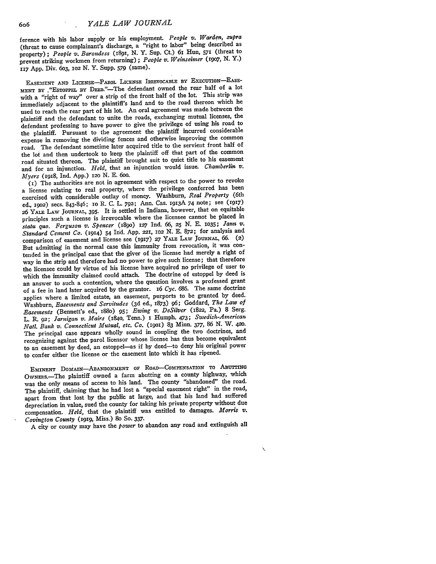ference with his labor supply or his employment. *People v. Warden, supra* (threat to cause complainant's discharge, a "right to labor" being described as property); *People v. Barondess (i891,* **N.** Y. Sup. Ct.) **6I** Hun, 571 (threat to prevent striking workmen from returning) **;** *People v. Weinseimer* **(1907,** N. Y.) 117 App. Div. 603, iO2 *N.* Y. Supp. *579* (same).

EASEMENT AND LICENSE-PAROL LICENSE IRREVOCABLE BY EXECUTION-EASE-MENT BY . "ESTOPPEL BY DEED."-The defendant owned the rear half of a lot with a "right of way" over a strip of the front half of the lot. This strip was immediately adjacent to the plaintiff's land and to the road thereon which he used to reach the rear part of his lot. An oral agreement was made between the plaintiff and the defendant to unite the roads, exchanging mutual licenses, the defendant professing to have power to give the privilege of using his road to the plaintiff. Pursuant to the agreement the plaintiff incurred considerable expense in removing the dividing fences and otherwise improving the common road. The defendant sometime later acquired title to the servient front half of the lot and then undertook to keep the plaintiff off that part of the common road situated thereon. The plaintiff brought suit to quiet title to his easement and for an injunction. *Held,* that an injunction would issue. *Chamberlin v. Myers* (1918, Ind. **App.)** *12o* **N. E. 6oo.**

**(I)** The authorities are not in agreement with respect to the power to revoke a license relating to real property, where the privilege conferred has been exercised with considerable outlay of money. Washburn, *Real Property* (6th ed., *19o2)* secs. 843-846; io R. **C.** L. *792;* Ann. Cas. I913A 74 note; see (1917) *<sup>26</sup>*YAiE LAW **JOURNAL, 395.** It is settled in Indiana, however, that on equitable principles such a license is irrevocable where the licensee cannot be placed in *statu quo. Ferguson v. Spencer* (189o) **127** Ind. *66,* **25** N. E. **1035;** *Jann v. Standard Cement Co.* (1914) 54 Ind. App. *221,* **1O2 N.** E. 872; for analysis and comparison of easement and license see (i917) *27* YALE LAW JOURNAL, *66.* **(2)** But admitting in the normal case this immunity from revocation, it was contended in the principal case that the giver of 'the license had merely a right of way in the strip and therefore had no power to give such license; that therefore the licensee could by virtue of his license have acquired no privilege of user to Which the immunity claimed could attach. The doctrine of estoppel by deed is an answer to such a contention, where the question involves a professed grant of a fee in land later acquired by the grantor. 16 *Cyc. 686.* The same doctrine applies where a limited estate, an easement, purports to be granted by deed. Washburn, *Easements and Servitudes* (3d ed., 1873) *96;* Goddard, *The Law of Easements* (Bennett's ed., i88o) 95; *Ewing v. DeSilver* **(1822,** Pa.) 8 Serg. L. R. *92; Jarnigan v. Mairs* (184o, Tenn.) i Humph. 473; *Swedish-American Natl. Bank v. Connecticut Mutual, etc. Co.* **(19O1)** 83 Minn. 377, 86 *N.* W. *420.* The principal case appears wholly sound in coupling the two doctrines, and recognizing against the parol licensor whose license has thus become equivalent to an easement by deed, an estoppel-as if by deed-to deny his original power to confer either the license or the easement into which it has ripened.

**EMINENT** DomAIN-ABANDONMENT OF ROAD-COMPENSATION **TO** ABUTTING OwNEs.-The plaintiff owned a farm abutting on a county highway, which was the only means of access to his land. The county "abandoned" the road. The plaintiff, claiming that he had lost a "special easement right" in the road, apart from that lost by the public at large, and that his land had suffered depreciation in value, sued the county for taking his private property without due compensation. *Held,* that the plaintiff was entitled to damages. *Morris v. Covington County* **(i919,** Miss.) **8o** So. **337.**

A city or county may have the *power* to abandon any road and extinguish all

 $\bar{\mathbf{v}}$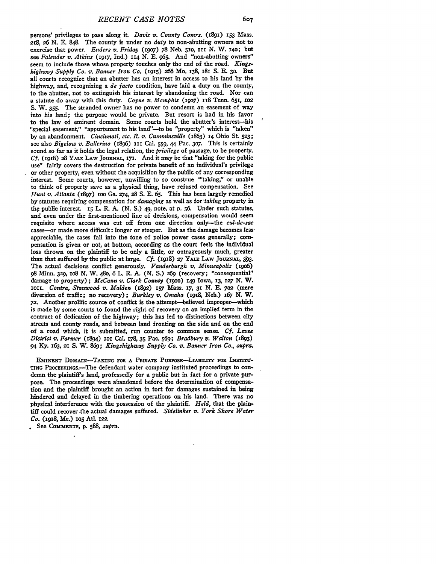persons' privileges to pass along it. *Davis v. County* Comrs. (i891) **153** Mass. 218, *26* N. **E.** 848. The county is under no *duty* to non-abutting owners not to exercise that power. *Enders v. Friday (igo7)* **78** Neb. **5io, iii N.** W. x4o; but see *Falender v. Atkins* **(1917,** Ind.) **114 N.** E. 965. And "non-abutting owners" seem to include those whose property touches only the end of the road. *Kingshighway Supply Co. v. Banner Iron Co.* **(i915) 266** Mo. 138, 181 S. E. **30.** But all courts recognize that an abutter has an interest in access to his land **by** the highway, and, recognizing a *de facto* condition, have laid a duty on the county, to the abutter, not to extinguish his interest **by** abandoning the road. Nor can a statute do away with this duty. *Coyne v. Memphis* **(i9o7)** it8 Tenn. 65i, **io2** S. **W. 355.** The stranded owner has no power to condemn an easement of way into his land; the purpose would be private. But resort is had in his favor to the law of eminent domain. Some courts hold the abutter's interest-his "special easement," "appurtenant to his land"-to be "property" which is "taken" **by** an abandonment. *Cincinnati, etc. R. v. Cumminsville* (1863) **14** Ohio St. **523;** see also *Bigelow v. Ballerino* (1896) 111 CaL **559,** 44 Pac. **3o7.** This is certainly sound so far as it holds the legal relation, the *privilege* of passage, to be property. *Cf.* **(1918) 28** YALE LAw **JOURNAr,** 17r. And it may be that "taking for the public use" fairly covers the destruction for private benefit of an individual's privilege or other property, even without the acquisition by the public of any corresponding interest. Some courts, however, unwilling to so construe "'taking," or unable to think of property save as a physical thing, have refused compensation. See *Hunt v. Atlanta* (897) ioo Ga. **274,** 28 **S. E. 65.** This has been largely remedied **by** statutes requiring compensation for *damaging* as well as *for'taking* property in the public interest. **I5** L. R. A. (N. **S.)** 49, note, at **p. 56.** Under such statutes, and even under the first-mentioned line of decisions, compensation would seem requisite where access was cut off from one direction only-the *cul-de-sac* cases-or made more difficult: longer or steeper. But as the damage becomes lessappreciable, the cases fall into the tone of police power cases generally; compensation is given or not, at bottom, according as the court feels the individual loss thrown on the plaintiff to be only a little, or outrageously much, greater than that suffered by the public at large. *Cf.* (1918) 27 YALE LAW JOURNAL, 393. The actual decisions conflict generously. *Vanderburgh v. Minneapolis* (i9o6) **<sup>98</sup>**Minn. **329, ro8** N. W. 48o, 6 L. **R.** A. (N. S.) **269** (recovery; "consequential" damage to property) **;** *McCann v. Clark County* **(rpro)** 149 Iowa, **13, 127 N.** W. ioi. *Contra, Stanwood v. Malden* **(I892) 157** Mass. **17,** *3 N.* **E. 7o2 (mere** diversion of traffic; no recovery); *Burkley v. Omaha* (1918, Neb.) 167 N. W. **72.** Another prolific source of conflict is the attempt-believed improper-which is made **by** some courts to found the right of recovery on an implied term in the contract of dedication of the highway; this has led to distinctions between city streets and county roads, and between land fronting on the side and on the end of a road which, it is submitted, **run** counter to common sense. *Cf. Levee District v. Farmer* (1894) **r1** Cal. 178, **35** Pac. **569;** *Bradbury v. Walton* (1893) 94 **Ky.** 163, **21 S.** W. *869; Kingshighway Supply Co. v. Banner Iron Co., supra.*

EMINENT DOMAIN-TAKING FOR A PRIVATE PURPOSE-LIABILITY FOR INSTITU-TING PROCEEDINGS.-The defendant water company instituted proceedings to condemn the plaintiff's land, professedly for a public but in fact for a private purpose. The proceedings were abandoned before the determination of compensa**tion** and the plaintiff brought an action in tort for damages sustained in being hindered and delayed in the timbering operations on his land. There was no physical interference with the possession of the plaintiff. *Held,* that the plaintiff could recover the actual damages suffered. *Sidelinker v. York Shore Water Co.* **(I918,** Me.) **IoS AtL I22.**

See **COMMENTS, p.** 588, *supra.*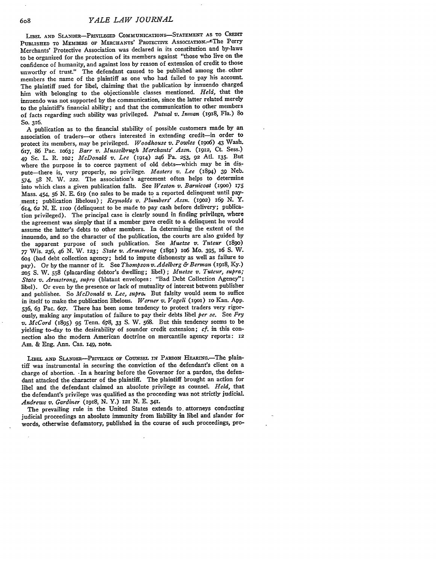LIBEL **AND** SLANDER-PRIVILEGED **COMMUNICATIONS-STATEMENT AS** TO CREDIT PUBLISHED TO MEMBERS OF MERCHANTS' PROTECTIVE ASSOCIATION.<sup>- The</sup> Perry Merchants' Protective Association was declared in its constitution and by-laws to be organized for the protection of its members against "those who live on the confidence of humanity, and against loss by reason of extension of credit to those unworthy of trust." The defendant caused to be published among the- other members the name of the plaintiff as one who had failed to pay his account. The plaintiff sued for libel, claiming that the publication by innuendo charged him with belonging to the objectionable classes mentioned. *Held,* that the innuendo was not supported by the communication, since the latter related merely to the plaintiff's financial ability; and that the communication to other members of facts regarding such ability was privileged. *Putnal v. Inman* (i918, Fla.) **So So.** 316.

**A** publication as to the financial stability of possible customers made **by** an association of traders-or others interested in extending credit-in order to protect its members, may be privileged. *Woodhouse v. Powles (igo6)* 43 Wash. 617, **86** Pac. io63; *Barr v. Musselbrugh Merchants' Assn.* **(1912, Ct.** Sess.) 49 Sc. L. R. io2; *McDonald v. Lee* (1914) 246 Pa. **253, 92** Atl. **135.** But where the purpose is to coerce payment of old debts-which may be in dispute-there is, very properly, no privilege. *Masters v. Lee* (1894) **39** Neb. 574, **58 N.** W. **222.** The association's agreement often helps to determine into which class a given publication falls. See *Weston- v. Barnicoat* (igoo) **<sup>175</sup>** Mass. 454, **56 N. E.** 619 (no sales to be made to a reported delinquent until payment; publication libelous); *Reynolds v. Plumbers' Assn. (19o2) 169 N. Y.* 614, 62 **N. E. 1oo** (delinquent to be made to pay cash before delivery; publication privileged). The principal case is clearly sound in finding privilege, where the agreement was simply that if a member gave credit to a delinquent he would assume the latter's debts to other members. In determining the extent of the innuendo, and so the character of the publication, the courts are also guided **by** the apparent purpose of such publication. See *Muetze v. Tuteur* **(189o) <sup>77</sup>**Wis. *236,* 46 *N.* W. 123; *State v. Armstrong* (i8gi) **106** MO. **395,** I6 **S.** W. 604 (bad debt collection agency; held to impute dishonesty as well as failure to pay). Or by the manner of it. See *Thompson v. Adelberg & Berman* (1918, Ky.) **205 S.** W. **558** (placarding debtor's dwelling; libel) ; *Muetze v. Tuteur, supra; State v. Armstrong, supra* (blatant envelopes: "Bad Debt Collection Agency"; libel). Or even by the presence or lack of mutuality of interest between publisher and publishee. So *McDonald v. Lee, supra,* But falsity would seem to suffice in itself to make the publication libelous. *Werner v. Vogeli* **(19O1) 1O** Kan. App. 536, 63 Pac. 6o7. There has been some tendency to protect traders very rigorously, making any imputation of failure to pay their debts libel *per se.* See *Fry v. McCord* (1895) **95** Tenn. 678, 33 **S.** W. 568. But this tendency seems to be yielding to-day to the desirability of sounder credit extension; *cf.* in this connection also the modern American doctrine on mercantile agency reports: *12* Am. & Eng. Ann. Cas. **i49,** note.

LIBEL AND SLANDER-PRIVILEGE OF COUNSEL IN PARDON HEARING. The plaintiff was instrumental in securing the conviction of the defendant's client on a charge of abortion. -In a hearing before the Governor for a pardon, the defendant attacked the character of the plaintiff. The plaintiff brought an action for libel and the defendant claimed an absolute privilege as counsel. *Held,* that the defendant's privilege **was** qualified as the proceeding was not strictly judicial. *Andrews v. Gardiner* **(1918, N.** Y.) **121 N. E.** 341.

The prevailing rule in the United States extends to, attorneys conducting judicial proceedings an absolute immunity from liability in libel and slander for words, otherwise defamatory, published in the course of such proceedings, pro-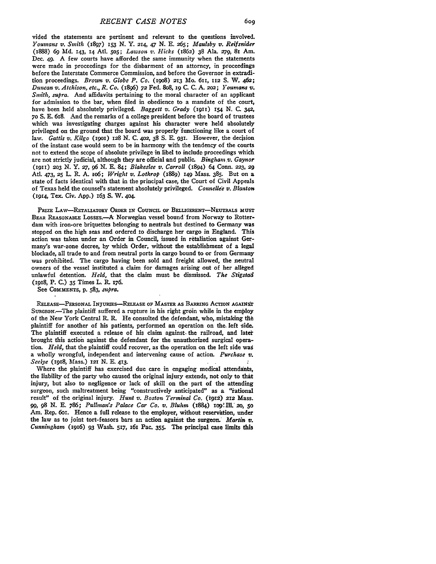vided the statements are pertinent and relevant to the questions involved. *Youmans v. Smith* (1897) **153 N.** Y. 214, 47 **N. E. 265;** *Maulsby v. Reifsnider* (1888) **69 Md. 143, 14** Atl. 5o5; *Lawson v. Hicks* (1862) **38** Al. **279, 81** Am. Dec. 49. A few courts have afforded the same immunity when the statements were made in proceedings for the disbarment of an attorney, in proceedings before the Interstate Commerce Commission, and before the Governor in extradition proceedings. *Brown v. Globe P. Co.* (i9o8) **213** Mo. 61i, **112** S. W. 462; *Duncan v. Atchison, etc., R. Co.* (I896) *72* Fed. 8o8, **ig** C. C. A. **202;** *Youmans v. Smith, supra.* And affidavits pertaining to the moral character of an applicant for admission to the bar, when filed in obedience to a mandate of the court, have been held absolutely privileged. *Baggett v. Grady* (19II) 154 N. C. 342, **70** S. E. 618. And the remarks of a college president before the board of trustees which was investigating charges against his character were held absolutely privileged on the ground that the board was properly functioning like a court of law. *Gattis v. Kilgo* (igoi) **128** N. **C.** *402,* 38 **S. E. 931.** However, the decision of the instant case would seem to be in harmony with the tendency of the courts not to extend the scope of absolute privilege in libel to include proceedings which are not strictly judicial, although they are official and public. *Binghanv. Gaynor* (1gxi) 203 N. Y. *27,* **96** N. **E.** 84; *Blakeslee v. Carroll* (1894) 64 Conn. **223, 29** Atl. 473, **25** L. R. A. io6; *Wright* v. *Lothrop* (889) 149 Mass. **385.** But on a state of facts identical with that in the principal case, the Court of Civil Appeals of Texas held the counsel's statement absolutely privileged. *Connellee v. Blanton* (1914, Tex. Civ. App.) 163 **S.** W. 4o4.

**pRizE LAW-RETALiATORY ORDER IN** CouNcuL **OF BELLIGERENT-NEUTRALS MUST BEAR REASONABLE LOSsES.-A-** Norwegian vessel bound from Norway to Rotterdam with iron-ore briquettes belonging to neutrals but destined to Germany was stopped on the high seas and ordered to discharge her cargo in England. This action was taken under an Order in Council, issued in retaliation against Germany's war-zone decree, **by** which Order, without the establishment of a legal blockade, all trade to and from neutral ports in cargo bound to or from Germany was prohibited. The cargo having been sold and freight allowed, the neutral owners of the vessel instituted a claim for damages arising out of her alleged unlawful detention. *Held,* that the claim must. be dismissed. *The Stigstad* (918, P. **C.) 35** Times L. R. 176.

See **COMMENTS, p.** 583, *supra.*

**RELEASE-PERSONAL INJURIES-RRASE** OF MASTER **AS** *BARRING* **ACTION AGAINST** SURGEON.-The plaintiff suffered a rupture in his right groin while in the employ of the New York Central R. R. He consulted the defendant, who, mistaking the plaintiff for another of his patients, performed an operation on the. left Side. The plaintiff executed a release of his claim against, the railroad, and later brought this action against the defendant for the unauthorized surgical operation. *Held,* that the plaintiff could recover, as the operation on the left side **was** a wholly wrongful, independent and intervening cause of action. *Purchase v. Seelye* **(1918,** Mass.) **121** N. E. 413.

Where the plaintiff has exercised due care in engaging medical attendants, the liability of the party who caused the original injury extends, not only to thit injury, but also to negligence or lack of skill on the part of the attending surgeon, such maltreatment being "constructively anticipated" as a "rational result" of the original injury. *Hunt v. Boston Terminal Co.* (1912) 212 Mass. **99, 98** *N.* **E. 786;** *Pullman's Palace Car Co. v. Bluhm* (1884) **log'ItL'2o, 50** Am. Rep. 6or. Hence a full release to the employer, without reservation, under the law as to joint tort-feasors bars an action against the surgeon. *Martin v. Cunningham* (I916) **93** Wash. **517, I6I** Pac. **355.** The principal case limits this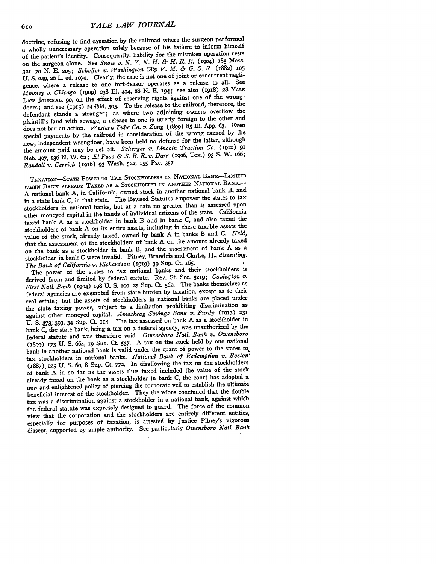doctrine, refusing to find causation by the railroad where the surgeon performed a wholly unnecessary operation solely because of his failure to inform himself of the patient's identity. Consequently, liability for the mistaken operation rests on the surgeon alone. See *Snow v. N. Y. N. H. & H. R. R.* (1904) I85 Mass. 321, **70 N. E.** 205; *Scheffer v. Washington City V. M. & G. S. R.* (1882) **1o5** U. S. 249, **26** L. ed. io7o. Clearly, the case is not one of joint or concurrent negligence, where a release to one tort-feasor operates as a release to all, See *Mooney v. Chicago* **(199o)** *238* Ill. 414, 88 N. **E.** 194; see also (1918) 28 YALE LAw JOuRNAL, go, on the effect of reserving rights against one of the wrongdoers; and see **(915)** *24 ibid.* 5o5. To the release to the railroad, therefore, the defendant stands a stranger; as where two adjoining owners overflow the plaintiff's land with sewage, a release to one is utterly foreign to the other and does not bar an action. *Western Tube Co. v. Zang* (899) 85 Ill. App. **63.** Even special payments by the railroad in consideration of the wrong caused by the new, independent wrongdoer, have been held no defense for the latter, although the amount paid may be set off. *Scherger v. Lincoln Traction Co.* (1912) **<sup>91</sup>** Neb. 407, 136 N. W. **62;** *El Paso & S. R. R. v. Darr* (i9o6, Tex.) **93** S. W. 166; *Randall v. Gerrick* (1i96) *93* Wash. **522, 155** Pac. 357.

TAXATION-STATE PowER To TAX STOCKHOLDERS **IN** NATIONAL BANK-LIMITED WHEN **BANK** ALREADY TAXED **AS A** STOCKHOLDER IN **ANOTHER NATIONAL BANK.- <sup>A</sup>**national bank A, in California, owned stock in another national bank B, and in a state bank C, in that state. The Revised Statutes empower the states to tax stockholders in national banks, but at a rate no greater than is assessed upon other moneyed capital in the hands of individual citizens of the state. California taxed bank A as a stockholder in bank B and in bank C, and also taxed the stockholders of bank A on its entire assets, including in these taxable assets the value of the stock, already taxed, owned by bank A in banks B and C. *Held,* that the assessment of the stockholders of bank A on the amount already taxed on the bank as a stockholder in bank B, and the assessment of bank A as a stockholder in bank C were invalid. Pitney, Brandeis and Clarke, **JJ.,** *dissenting. The Bank of California v. Richardson* **(i919)** 39 Sup. Ct. 165.

The power of the states to tax national banks and their stockholders is derived from and limited by federal statute. Rev. St. Sec. 5219; *Covington V. First Nati. Bank* (19o4) 198 **U. S. 10, 25** Sup. Ct. 562. The banks themselves as federal agencies are exempted from state burden by taxation, except as to their real estate; but the assets of stockholders in national banks are placed under the state taxing power, subject to a limitation prohibiting discrimination as against other moneyed capital. *Amoskeag Savings Bank v. Purdy* (1913) **<sup>231</sup>** U. S. 373; 393, 34 Sup. Ct. 114. The tax assessed on bank A as a stockholder in bank C, the state bank, being a tax on a federal agency, was unauthorized by the federal statute and was therefore void. *Owensboro Nati. Bank v. Owensboro* (1899) 173 U. **S.** 664, **19** Sup. Ct. **537.** A tax on the stock held **by** one national bank in another national bank is valid under the grant of power to the states to tax stockholders in national banks. *National Bank of Redemption v. Boston,* (1887) **125** U. **S.** 6o, 8 Sup. Ct. **772.** In disallowing the tax on the stockholders of bank A in so far as the assets thus taxed included the value of the stock already taxed on the bank as a stockholder in bank C, the court has adopted a new and enlightened policy of piercing the corporate veil to establish the ultimate beneficial interest of the stockholder. They therefore concluded that the double tax was a discrimination against a stockholder in a national bank, against which the federal statute was expressly designed to guard. The force of the common view that the corporation and the stockholders are entirely different entities, especially for purposes of taxation, is attested by Justice Pituey's vigorous dissent, supported **by** ample authority. See particularly *Owensboro Nati. Bank*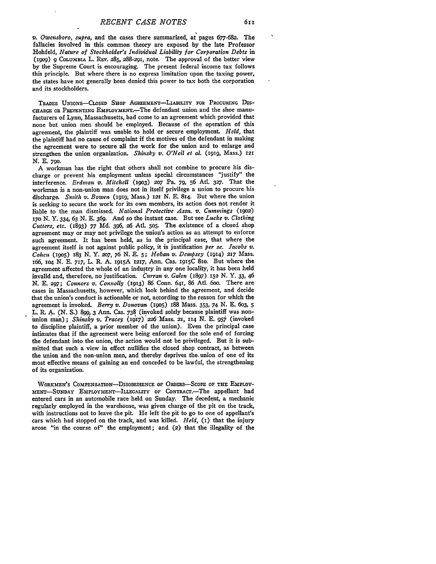*v. Owensboro, supra,* and the cases there summarized, **at** pages **677-682.** The fallacies involved in this common theory are exposed **by** the late Professor Hohfeld, *Nature of Stockholder's Individual Liability for Corporation Debts* in *(19o9)* **9 COLUMBIA** L. REv. 285, 288-291, note. The approval of the better view **by** the Supreme Court is encouraging. The present federal income tax follows this principle. But where there is no express limitation upon the taxing power, the states have not generally been denied this power to tax both the corporation and its stockholders.

**TRADES** UNIoNs-CLosED SHOP AGREEMENT-LABILiTY **FOR** PROCURING Dis-**CHARGE OR** PREVENTING EMPLOYMENT.-The defendant union and the shoe manufacturers of Lynn, Massachusetts, had come to an agreement which provided that none but union men should be employed. Because of the operation of this agreement, the plaintiff was unable to hold or secure'employment. *Held,* that the plaintiff had no cause of complaint if the motives of the defendant in making the agreement were to secure all the work for the union and to enlarge and strengthen the union organization. *Shinsky v. OWeil et al.* **(I919,** Mass.) **<sup>121</sup> N. E. 790.**

**A** workman has the right that others shall not combine to procure his discharge or prevent his employment unless special circumstances "justify" the interference. *Erdman v. Mitchell* **(I9O3) 207** Pa. **79, 56 Atl. 327.** That the workman is a non-union man does not in itself privilege a union to procure his discharge. *Smith v. Bowen* **(i919,** Mass.) **121 N. E.** 814. But where the union is seeking to secure the work for its own members, its action does not render it liable to the man dismissed. *National Protective Assn. v. Cummings* **(1902)** 17o N. **Y.** 334, 63 **N. E.** 369. And so the instant case. But-see *Lucke v. Clothing Cutters, etc.* (1893) **77 Md.** *396,* 26 Atl. **505.** The existence of a closed shop agreement may or may not privilege the union's action as an attempt to enforce such agreement. It has been held, as in the principal case, that where the agreement itself is not against public policy, it is justification *per se. Jacobs v. Cohen* (igoS) 183 **N. Y. 207,** 76 N. **E. 5;** *Hoban v. Dempsey* (914) **217** Mass. 166, **1o4 N. E.** 717, L. R. **A.** i9i5A 1217, Ann. Cas. **19i5C** 8Io. But where the agreement affected the whole of an industry in any one locality, it has been held invalid and, therefore, no justification. *Curran v. Galen* (1897) **152 N.** *Y.* **33,** 46 *N.* E. *297; Connors v. Connolly* (1913) 86 Conn. 641, 86 Atl. 6oo. There are cases in Massachusetts, however, which look behind the agreement, and decide that the union's conduct is actionable or not, according to the reason for which the agreement is invoked. *Berry v. Donovan* (igo5) 188 Mass. **353,** 74 N. E. 603, **5** L. R. **A. (N.** S.) **899,** 3 Ann. Cas. **738** (invoked solely because plaintiff was nonimion man) ; *Shinsky* **v,.** *tracey* **(I9"I7)** 226-Mass. 21, **114 N. E.** 957 (invoked to discipline plaintiff, a prior member of the union). Even the principal case intimates that if the agreement were being enforced for the sole end of forcing the defendant into the union, the action would not be privileged. But it is submitted that such a view in effect nullifies the closed shop contract, as between the union and the non-union men, and thereby deprives the. union of one of its most effective means of gaining an end conceded to be lawful, the strengthening of its organization.

WORKMEN's COMPENsATIoN-DIsoBEDIENCE OF ORDERS-SCOPE **OF THE EMPLOY-MENT-SUNDAY EMPLOYMENT-ILLEGALITY OF** CONTRACT.-The appellant had entered cars in an automobile race held on Sunday. The decedent, a mechanic regularly employed in the warehouse, was given charge of the pit on the track, with instructions not to leave the pit. He left the pit to go to one of appellant's cars which had stopped on the track, and was killed. *Held,* **(I)** that the injury arose "in the course of" the employment; and (2) that the illegality of the